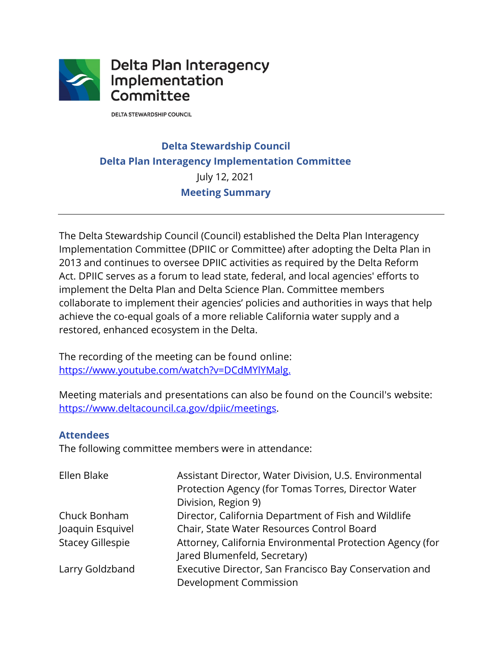

**DELTA STEWARDSHIP COUNCIL** 

# **Delta Stewardship Council Delta Plan Interagency Implementation Committee**  July 12, 2021 **Meeting Summary**

 implement the Delta Plan and Delta Science Plan. Committee members The Delta Stewardship Council (Council) established the Delta Plan Interagency Implementation Committee (DPIIC or Committee) after adopting the Delta Plan in 2013 and continues to oversee DPIIC activities as required by the Delta Reform Act. DPIIC serves as a forum to lead state, federal, and local agencies' efforts to collaborate to implement their agencies' policies and authorities in ways that help achieve the co-equal goals of a more reliable California water supply and a restored, enhanced ecosystem in the Delta.

The recording of the meeting can be found online: [https://www.youtube.com/watch?v=DCdMYlYMalg.](https://www.youtube.com/watch?v=DCdMYlYMalg)

Meeting materials and presentations can also be found on the Council's website:<br><u><https://www.deltacouncil.ca.gov/dpiic/meetings></u>.

## **Attendees**

The following committee members were in attendance:

| Ellen Blake             | Assistant Director, Water Division, U.S. Environmental    |
|-------------------------|-----------------------------------------------------------|
|                         | Protection Agency (for Tomas Torres, Director Water       |
|                         | Division, Region 9)                                       |
| Chuck Bonham            | Director, California Department of Fish and Wildlife      |
| Joaquin Esquivel        | Chair, State Water Resources Control Board                |
| <b>Stacey Gillespie</b> | Attorney, California Environmental Protection Agency (for |
|                         | Jared Blumenfeld, Secretary)                              |
| Larry Goldzband         | Executive Director, San Francisco Bay Conservation and    |
|                         | Development Commission                                    |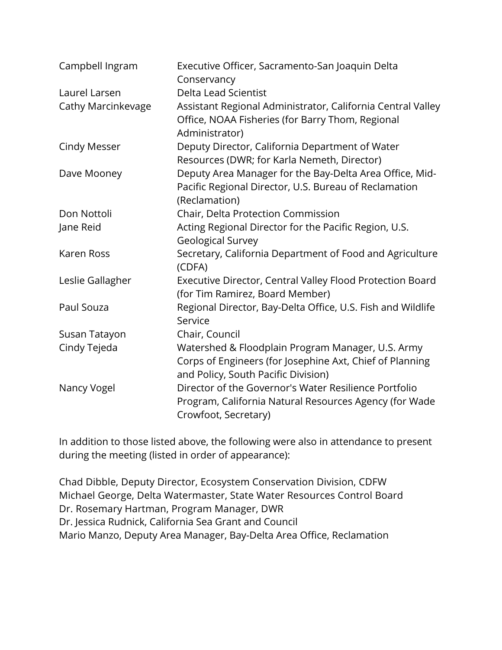| Campbell Ingram     | Executive Officer, Sacramento-San Joaquin Delta<br>Conservancy                                                                                       |
|---------------------|------------------------------------------------------------------------------------------------------------------------------------------------------|
| Laurel Larsen       | Delta Lead Scientist                                                                                                                                 |
| Cathy Marcinkevage  | Assistant Regional Administrator, California Central Valley<br>Office, NOAA Fisheries (for Barry Thom, Regional<br>Administrator)                    |
| <b>Cindy Messer</b> | Deputy Director, California Department of Water<br>Resources (DWR; for Karla Nemeth, Director)                                                       |
| Dave Mooney         | Deputy Area Manager for the Bay-Delta Area Office, Mid-<br>Pacific Regional Director, U.S. Bureau of Reclamation<br>(Reclamation)                    |
| Don Nottoli         | Chair, Delta Protection Commission                                                                                                                   |
| Jane Reid           | Acting Regional Director for the Pacific Region, U.S.<br><b>Geological Survey</b>                                                                    |
| Karen Ross          | Secretary, California Department of Food and Agriculture<br>(CDFA)                                                                                   |
| Leslie Gallagher    | Executive Director, Central Valley Flood Protection Board<br>(for Tim Ramirez, Board Member)                                                         |
| Paul Souza          | Regional Director, Bay-Delta Office, U.S. Fish and Wildlife<br>Service                                                                               |
| Susan Tatayon       | Chair, Council                                                                                                                                       |
| Cindy Tejeda        | Watershed & Floodplain Program Manager, U.S. Army<br>Corps of Engineers (for Josephine Axt, Chief of Planning<br>and Policy, South Pacific Division) |
| Nancy Vogel         | Director of the Governor's Water Resilience Portfolio<br>Program, California Natural Resources Agency (for Wade<br>Crowfoot, Secretary)              |

In addition to those listed above, the following were also in attendance to present during the meeting (listed in order of appearance):

Chad Dibble, Deputy Director, Ecosystem Conservation Division, CDFW Michael George, Delta Watermaster, State Water Resources Control Board Dr. Rosemary Hartman, Program Manager, DWR Dr. Jessica Rudnick, California Sea Grant and Council Mario Manzo, Deputy Area Manager, Bay-Delta Area Office, Reclamation